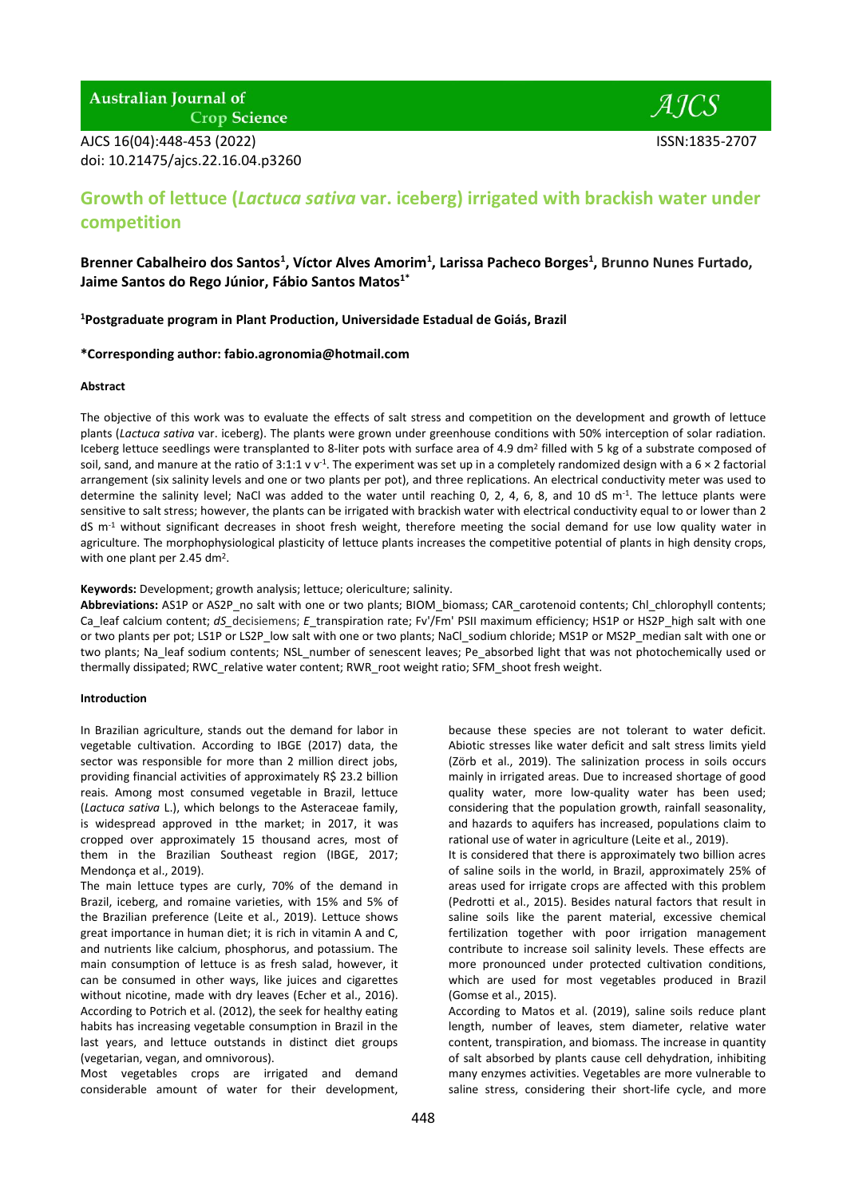**Australian Journal of** 

**Crop Science** 

AJCS 16(04):448-453 (2022) ISSN:1835-2707 doi: 10.21475/ajcs.22.16.04.p3260

 $AICS$ 

# **Growth of lettuce (***Lactuca sativa* **var. iceberg) irrigated with brackish water under competition**

**Brenner Cabalheiro dos Santos<sup>1</sup> , Víctor Alves Amorim<sup>1</sup> , Larissa Pacheco Borges<sup>1</sup> , Brunno Nunes Furtado, Jaime Santos do Rego Júnior, Fábio Santos Matos1\***

**<sup>1</sup>Postgraduate program in Plant Production, Universidade Estadual de Goiás, Brazil**

# **\*Corresponding author: fabio.agronomia@hotmail.com**

# **Abstract**

The objective of this work was to evaluate the effects of salt stress and competition on the development and growth of lettuce plants (*Lactuca sativa* var. iceberg). The plants were grown under greenhouse conditions with 50% interception of solar radiation. Iceberg lettuce seedlings were transplanted to 8-liter pots with surface area of 4.9 dm<sup>2</sup> filled with 5 kg of a substrate composed of soil, sand, and manure at the ratio of 3:1:1 v v<sup>-1</sup>. The experiment was set up in a completely randomized design with a 6  $\times$  2 factorial arrangement (six salinity levels and one or two plants per pot), and three replications. An electrical conductivity meter was used to determine the salinity level; NaCl was added to the water until reaching 0, 2, 4, 6, 8, and 10 dS m<sup>-1</sup>. The lettuce plants were sensitive to salt stress; however, the plants can be irrigated with brackish water with electrical conductivity equal to or lower than 2  $dS$  m<sup>-1</sup> without significant decreases in shoot fresh weight, therefore meeting the social demand for use low quality water in agriculture. The morphophysiological plasticity of lettuce plants increases the competitive potential of plants in high density crops, with one plant per 2.45 dm<sup>2</sup>.

# **Keywords:** Development; growth analysis; lettuce; olericulture; salinity.

**Abbreviations:** AS1P or AS2P\_no salt with one or two plants; BIOM\_biomass; CAR\_carotenoid contents; Chl\_chlorophyll contents; Ca\_leaf calcium content; *dS\_decisiemens; E\_transpiration rate;* Fv'/Fm' PSII maximum efficiency; HS1P or HS2P\_high salt with one or two plants per pot; LS1P or LS2P\_low salt with one or two plants; NaCl\_sodium chloride; MS1P or MS2P\_median salt with one or two plants; Na\_leaf sodium contents; NSL\_number of senescent leaves; Pe\_absorbed light that was not photochemically used or thermally dissipated; RWC\_relative water content; RWR\_root weight ratio; SFM\_shoot fresh weight.

# **Introduction**

In Brazilian agriculture, stands out the demand for labor in vegetable cultivation. According to IBGE (2017) data, the sector was responsible for more than 2 million direct jobs, providing financial activities of approximately R\$ 23.2 billion reais. Among most consumed vegetable in Brazil, lettuce (*Lactuca sativa* L.), which belongs to the Asteraceae family, is widespread approved in tthe market; in 2017, it was cropped over approximately 15 thousand acres, most of them in the Brazilian Southeast region (IBGE, 2017; Mendonça et al., 2019).

The main lettuce types are curly, 70% of the demand in Brazil, iceberg, and romaine varieties, with 15% and 5% of the Brazilian preference (Leite et al., 2019). Lettuce shows great importance in human diet; it is rich in vitamin A and C, and nutrients like calcium, phosphorus, and potassium. The main consumption of lettuce is as fresh salad, however, it can be consumed in other ways, like juices and cigarettes without nicotine, made with dry leaves (Echer et al., 2016). According to Potrich et al. (2012), the seek for healthy eating habits has increasing vegetable consumption in Brazil in the last years, and lettuce outstands in distinct diet groups (vegetarian, vegan, and omnivorous).

Most vegetables crops are irrigated and demand considerable amount of water for their development,

because these species are not tolerant to water deficit. Abiotic stresses like water deficit and salt stress limits yield (Zörb et al., 2019). The salinization process in soils occurs mainly in irrigated areas. Due to increased shortage of good quality water, more low-quality water has been used; considering that the population growth, rainfall seasonality, and hazards to aquifers has increased, populations claim to rational use of water in agriculture (Leite et al., 2019).

It is considered that there is approximately two billion acres of saline soils in the world, in Brazil, approximately 25% of areas used for irrigate crops are affected with this problem (Pedrotti et al., 2015). Besides natural factors that result in saline soils like the parent material, excessive chemical fertilization together with poor irrigation management contribute to increase soil salinity levels. These effects are more pronounced under protected cultivation conditions, which are used for most vegetables produced in Brazil (Gomse et al., 2015).

According to Matos et al. (2019), saline soils reduce plant length, number of leaves, stem diameter, relative water content, transpiration, and biomass. The increase in quantity of salt absorbed by plants cause cell dehydration, inhibiting many enzymes activities. Vegetables are more vulnerable to saline stress, considering their short-life cycle, and more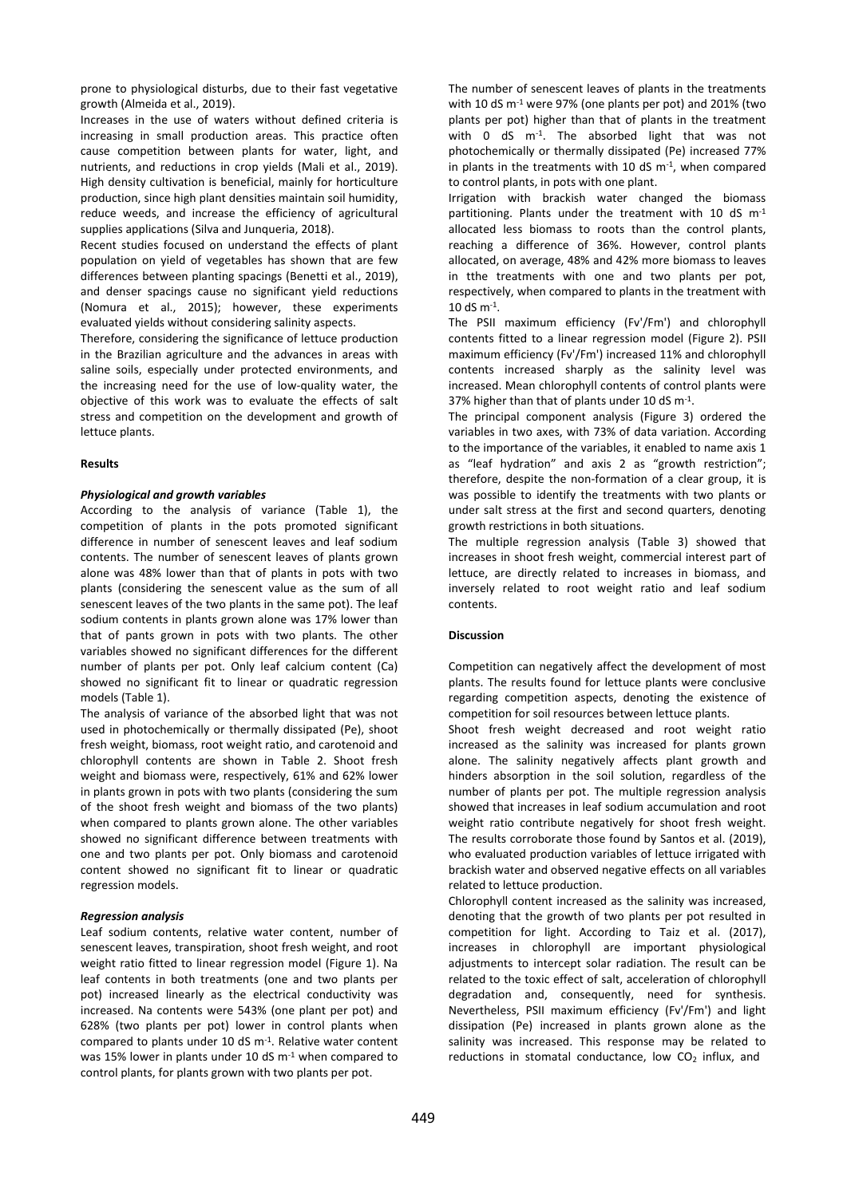prone to physiological disturbs, due to their fast vegetative growth (Almeida et al., 2019).

Increases in the use of waters without defined criteria is increasing in small production areas. This practice often cause competition between plants for water, light, and nutrients, and reductions in crop yields (Mali et al., 2019). High density cultivation is beneficial, mainly for horticulture production, since high plant densities maintain soil humidity, reduce weeds, and increase the efficiency of agricultural supplies applications (Silva and Junqueria, 2018).

Recent studies focused on understand the effects of plant population on yield of vegetables has shown that are few differences between planting spacings (Benetti et al., 2019), and denser spacings cause no significant yield reductions (Nomura et al., 2015); however, these experiments evaluated yields without considering salinity aspects.

Therefore, considering the significance of lettuce production in the Brazilian agriculture and the advances in areas with saline soils, especially under protected environments, and the increasing need for the use of low-quality water, the objective of this work was to evaluate the effects of salt stress and competition on the development and growth of lettuce plants.

# **Results**

# *Physiological and growth variables*

According to the analysis of variance (Table 1), the competition of plants in the pots promoted significant difference in number of senescent leaves and leaf sodium contents. The number of senescent leaves of plants grown alone was 48% lower than that of plants in pots with two plants (considering the senescent value as the sum of all senescent leaves of the two plants in the same pot). The leaf sodium contents in plants grown alone was 17% lower than that of pants grown in pots with two plants. The other variables showed no significant differences for the different number of plants per pot. Only leaf calcium content (Ca) showed no significant fit to linear or quadratic regression models (Table 1).

The analysis of variance of the absorbed light that was not used in photochemically or thermally dissipated (Pe), shoot fresh weight, biomass, root weight ratio, and carotenoid and chlorophyll contents are shown in Table 2. Shoot fresh weight and biomass were, respectively, 61% and 62% lower in plants grown in pots with two plants (considering the sum of the shoot fresh weight and biomass of the two plants) when compared to plants grown alone. The other variables showed no significant difference between treatments with one and two plants per pot. Only biomass and carotenoid content showed no significant fit to linear or quadratic regression models.

## *Regression analysis*

Leaf sodium contents, relative water content, number of senescent leaves, transpiration, shoot fresh weight, and root weight ratio fitted to linear regression model (Figure 1). Na leaf contents in both treatments (one and two plants per pot) increased linearly as the electrical conductivity was increased. Na contents were 543% (one plant per pot) and 628% (two plants per pot) lower in control plants when compared to plants under 10 dS m-1 . Relative water content was 15% lower in plants under 10 dS m-1 when compared to control plants, for plants grown with two plants per pot.

The number of senescent leaves of plants in the treatments with 10 dS m-1 were 97% (one plants per pot) and 201% (two plants per pot) higher than that of plants in the treatment with 0 dS m-1 . The absorbed light that was not photochemically or thermally dissipated (Pe) increased 77% in plants in the treatments with 10 dS  $m<sup>-1</sup>$ , when compared to control plants, in pots with one plant.

Irrigation with brackish water changed the biomass partitioning. Plants under the treatment with 10 dS m-1 allocated less biomass to roots than the control plants, reaching a difference of 36%. However, control plants allocated, on average, 48% and 42% more biomass to leaves in tthe treatments with one and two plants per pot, respectively, when compared to plants in the treatment with 10 dS  $m^{-1}$ .

The PSII maximum efficiency (Fv'/Fm') and chlorophyll contents fitted to a linear regression model (Figure 2). PSII maximum efficiency (Fv'/Fm') increased 11% and chlorophyll contents increased sharply as the salinity level was increased. Mean chlorophyll contents of control plants were 37% higher than that of plants under 10 dS m-1 .

The principal component analysis (Figure 3) ordered the variables in two axes, with 73% of data variation. According to the importance of the variables, it enabled to name axis 1 as "leaf hydration" and axis 2 as "growth restriction"; therefore, despite the non-formation of a clear group, it is was possible to identify the treatments with two plants or under salt stress at the first and second quarters, denoting growth restrictions in both situations.

The multiple regression analysis (Table 3) showed that increases in shoot fresh weight, commercial interest part of lettuce, are directly related to increases in biomass, and inversely related to root weight ratio and leaf sodium contents.

# **Discussion**

Competition can negatively affect the development of most plants. The results found for lettuce plants were conclusive regarding competition aspects, denoting the existence of competition for soil resources between lettuce plants.

Shoot fresh weight decreased and root weight ratio increased as the salinity was increased for plants grown alone. The salinity negatively affects plant growth and hinders absorption in the soil solution, regardless of the number of plants per pot. The multiple regression analysis showed that increases in leaf sodium accumulation and root weight ratio contribute negatively for shoot fresh weight. The results corroborate those found by Santos et al. (2019), who evaluated production variables of lettuce irrigated with brackish water and observed negative effects on all variables related to lettuce production.

Chlorophyll content increased as the salinity was increased, denoting that the growth of two plants per pot resulted in competition for light. According to Taiz et al. (2017), increases in chlorophyll are important physiological adjustments to intercept solar radiation. The result can be related to the toxic effect of salt, acceleration of chlorophyll degradation and, consequently, need for synthesis. Nevertheless, PSII maximum efficiency (Fv'/Fm') and light dissipation (Pe) increased in plants grown alone as the salinity was increased. This response may be related to reductions in stomatal conductance, low  $CO<sub>2</sub>$  influx, and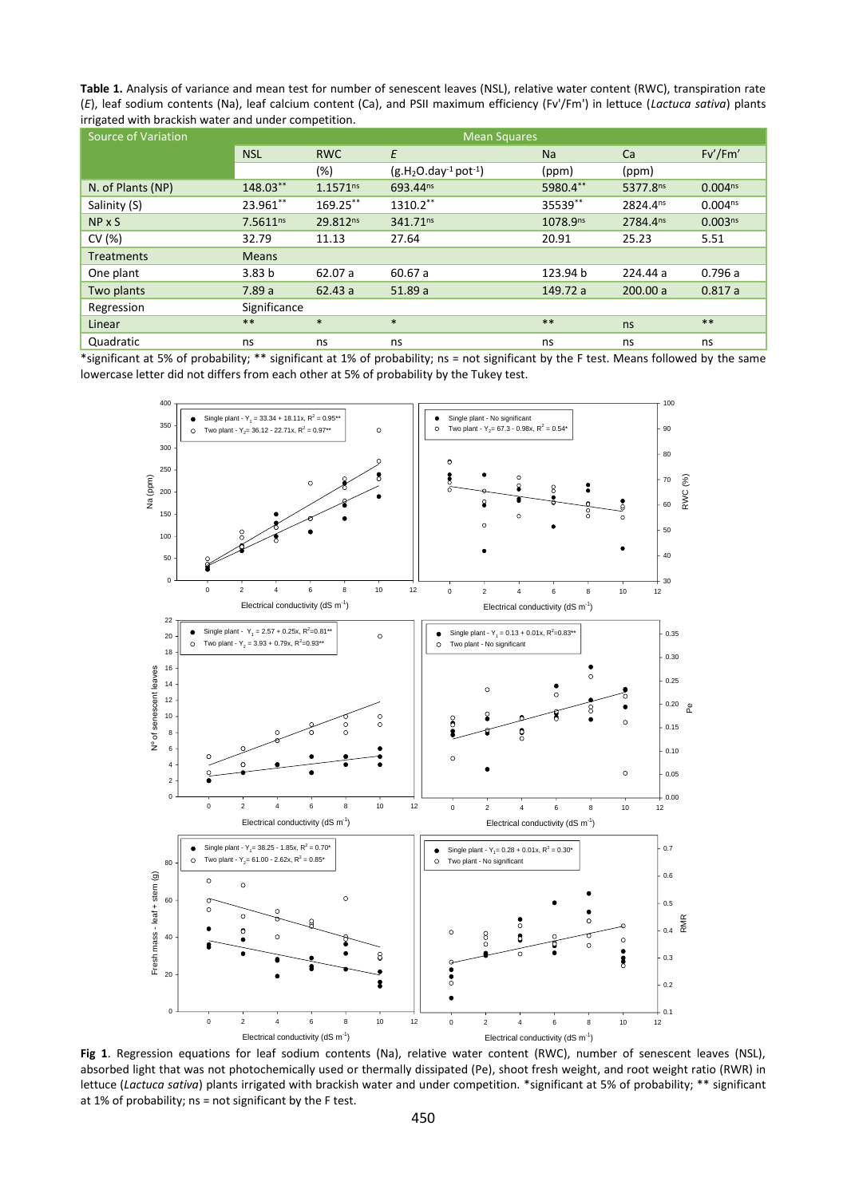**Table 1.** Analysis of variance and mean test for number of senescent leaves (NSL), relative water content (RWC), transpiration rate (*E*), leaf sodium contents (Na), leaf calcium content (Ca), and PSII maximum efficiency (Fv'/Fm') in lettuce (*Lactuca sativa*) plants irrigated with brackish water and under competition.

| <b>Source of Variation</b> | <b>Mean Squares</b> |               |                       |                      |                      |                     |  |
|----------------------------|---------------------|---------------|-----------------------|----------------------|----------------------|---------------------|--|
|                            | <b>NSL</b>          | <b>RWC</b>    | E                     | Na                   | Ca                   | Fv'/Fm'             |  |
|                            |                     | $(\%)$        | $(g.H2O.day-1 pot-1)$ | (ppm)                | (ppm)                |                     |  |
| N. of Plants (NP)          | 148.03**            | $1.1571^{ns}$ | 693.44 <sup>ns</sup>  | 5980.4**             | 5377.8ns             | $0.004^{ns}$        |  |
| Salinity (S)               | 23.961**            | 169.25**      | 1310.2**              | 35539**              | 2824.4 <sup>ns</sup> | $0.004^{ns}$        |  |
| NP X S                     | $7.5611^{ns}$       | 29.812ns      | 341.71 <sup>ns</sup>  | 1078.9 <sup>ns</sup> | 2784.4 <sup>ns</sup> | 0.003 <sup>ns</sup> |  |
| CV(%)                      | 32.79               | 11.13         | 27.64                 | 20.91                | 25.23                | 5.51                |  |
| <b>Treatments</b>          | <b>Means</b>        |               |                       |                      |                      |                     |  |
| One plant                  | 3.83 <sub>b</sub>   | 62.07 a       | 60.67 a               | 123.94 b             | 224.44 a             | 0.796a              |  |
| Two plants                 | 7.89a               | 62.43a        | 51.89a                | 149.72 a             | 200.00 a             | 0.817a              |  |
| Regression                 | Significance        |               |                       |                      |                      |                     |  |
| Linear                     | $***$               | $\ast$        | $\ast$                | $***$                | ns                   | $***$               |  |
| Quadratic                  | ns                  | ns            | ns                    | ns                   | ns                   | ns                  |  |

\*significant at 5% of probability; \*\* significant at 1% of probability; ns = not significant by the F test. Means followed by the same lowercase letter did not differs from each other at 5% of probability by the Tukey test.



**Fig 1**. Regression equations for leaf sodium contents (Na), relative water content (RWC), number of senescent leaves (NSL), absorbed light that was not photochemically used or thermally dissipated (Pe), shoot fresh weight, and root weight ratio (RWR) in lettuce (*Lactuca sativa*) plants irrigated with brackish water and under competition. \*significant at 5% of probability; \*\* significant at 1% of probability; ns = not significant by the F test.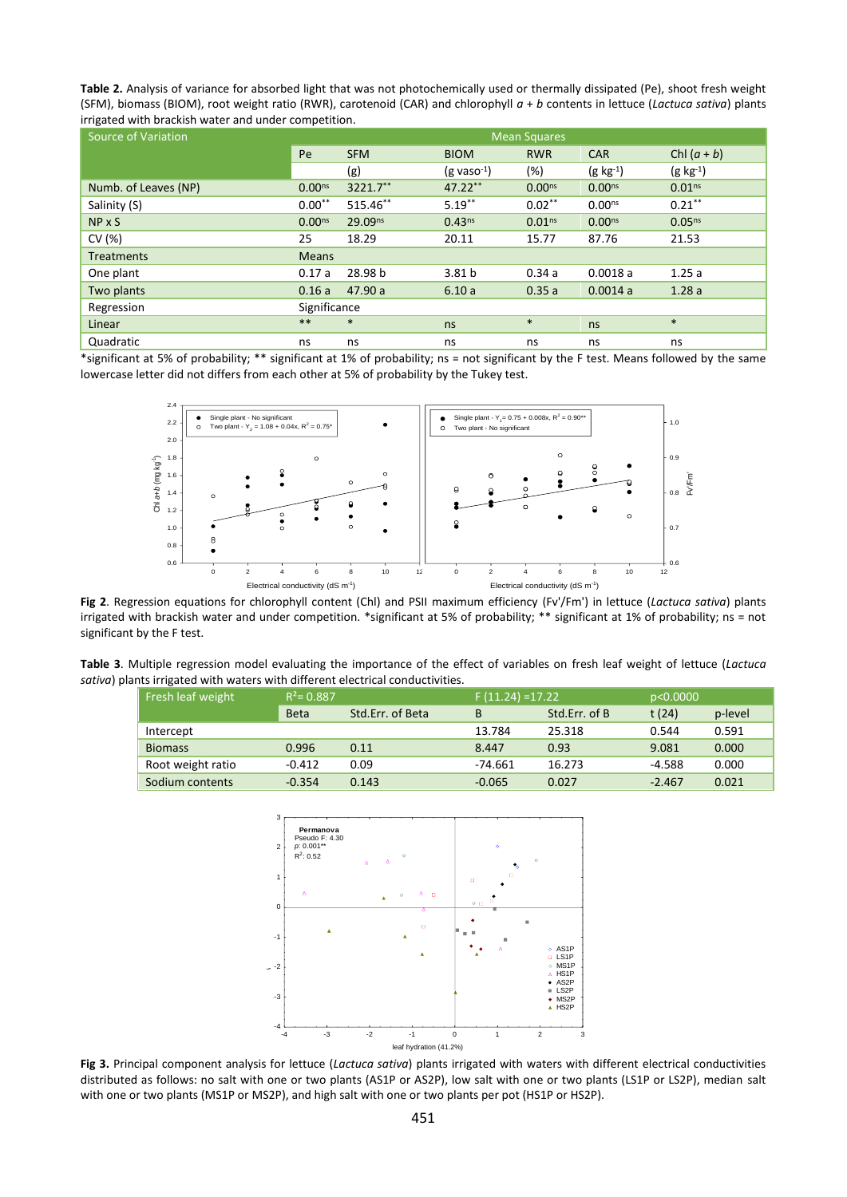**Table 2.** Analysis of variance for absorbed light that was not photochemically used or thermally dissipated (Pe), shoot fresh weight (SFM), biomass (BIOM), root weight ratio (RWR), carotenoid (CAR) and chlorophyll *a* + *b* contents in lettuce (*Lactuca sativa*) plants irrigated with brackish water and under competition.

| <b>Source of Variation</b>                                                                                                             | <b>Mean Squares</b> |                     |                                                       |                    |                    |                    |  |
|----------------------------------------------------------------------------------------------------------------------------------------|---------------------|---------------------|-------------------------------------------------------|--------------------|--------------------|--------------------|--|
|                                                                                                                                        | Pe                  | <b>SFM</b>          | <b>BIOM</b>                                           | <b>RWR</b>         | <b>CAR</b>         | Chl $(a + b)$      |  |
|                                                                                                                                        |                     | (g)                 | $(g \text{ vaso}^{-1})$                               | (%)                | $(g \; kg^{-1})$   | $(g \; kg^{-1})$   |  |
| Numb. of Leaves (NP)                                                                                                                   | 0.00 <sub>ns</sub>  | 3221.7**            | 47.22**                                               | 0.00 <sub>ns</sub> | 0.00 <sub>ns</sub> | 0.01 <sup>ns</sup> |  |
| Salinity (S)                                                                                                                           | $0.00**$            | 515.46**            | $5.19***$                                             | $0.02***$          | $0.00^{ns}$        | $0.21***$          |  |
| NP x S                                                                                                                                 | 0.00 <sub>ns</sub>  | 29.09 <sup>ns</sup> | 0.43 <sup>ns</sup>                                    | 0.01 <sup>ns</sup> | 0.00 <sub>ns</sub> | 0.05 <sup>ns</sup> |  |
| CV(%)                                                                                                                                  | 25                  | 18.29               | 20.11                                                 | 15.77              | 87.76              | 21.53              |  |
| <b>Treatments</b>                                                                                                                      | <b>Means</b>        |                     |                                                       |                    |                    |                    |  |
| One plant                                                                                                                              | 0.17a               | 28.98 b             | 3.81 <sub>b</sub>                                     | 0.34a              | 0.0018a            | 1.25a              |  |
| Two plants                                                                                                                             | 0.16a               | 47.90 a             | 6.10a                                                 | 0.35a              | 0.0014a            | 1.28a              |  |
| Regression                                                                                                                             | Significance        |                     |                                                       |                    |                    |                    |  |
| Linear                                                                                                                                 | $***$               | $\ast$              | ns                                                    | $\ast$             | ns                 | $\ast$             |  |
| Quadratic                                                                                                                              | ns                  | ns                  | ns                                                    | ns                 | ns                 | ns                 |  |
| *significant at 5% of probability; ** significant at 1% of probability; ns = not significant by the F test. Means followed by the same |                     |                     |                                                       |                    |                    |                    |  |
| lowercase letter did not differs from each other at 5% of probability by the Tukey test.                                               |                     |                     |                                                       |                    |                    |                    |  |
|                                                                                                                                        |                     |                     |                                                       |                    |                    |                    |  |
| 2.4                                                                                                                                    |                     |                     | Single plant - $Y_1 = 0.75 + 0.008x$ , $R^2 = 0.90**$ |                    |                    |                    |  |
| Single plant - No significant<br>2.2<br>Two plant - $Y_2 = 1.08 + 0.04x$ , $R^2 = 0.75^*$                                              |                     |                     | Two plant - No significant<br>$\circ$                 |                    |                    | 1.0                |  |



**Fig 2**. Regression equations for chlorophyll content (Chl) and PSII maximum efficiency (Fv'/Fm') in lettuce (*Lactuca sativa*) plants irrigated with brackish water and under competition. \*significant at 5% of probability; \*\* significant at 1% of probability; ns = not significant by the F test.

**Table 3**. Multiple regression model evaluating the importance of the effect of variables on fresh leaf weight of lettuce (*Lactuca sativa*) plants irrigated with waters with different electrical conductivities.

| Fresh leaf weight | $R^2$ = 0.887 |                  | $F(11.24) = 17.22$ |               | p<0.0000 |         |
|-------------------|---------------|------------------|--------------------|---------------|----------|---------|
|                   | <b>Beta</b>   | Std.Err. of Beta | B                  | Std.Err. of B | t(24)    | p-level |
| Intercept         |               |                  | 13.784             | 25.318        | 0.544    | 0.591   |
| <b>Biomass</b>    | 0.996         | 0.11             | 8.447              | 0.93          | 9.081    | 0.000   |
| Root weight ratio | $-0.412$      | 0.09             | -74.661            | 16.273        | -4.588   | 0.000   |
| Sodium contents   | $-0.354$      | 0.143            | $-0.065$           | 0.027         | $-2.467$ | 0.021   |



**Fig 3.** Principal component analysis for lettuce (*Lactuca sativa*) plants irrigated with waters with different electrical conductivities distributed as follows: no salt with one or two plants (AS1P or AS2P), low salt with one or two plants (LS1P or LS2P), median salt with one or two plants (MS1P or MS2P), and high salt with one or two plants per pot (HS1P or HS2P).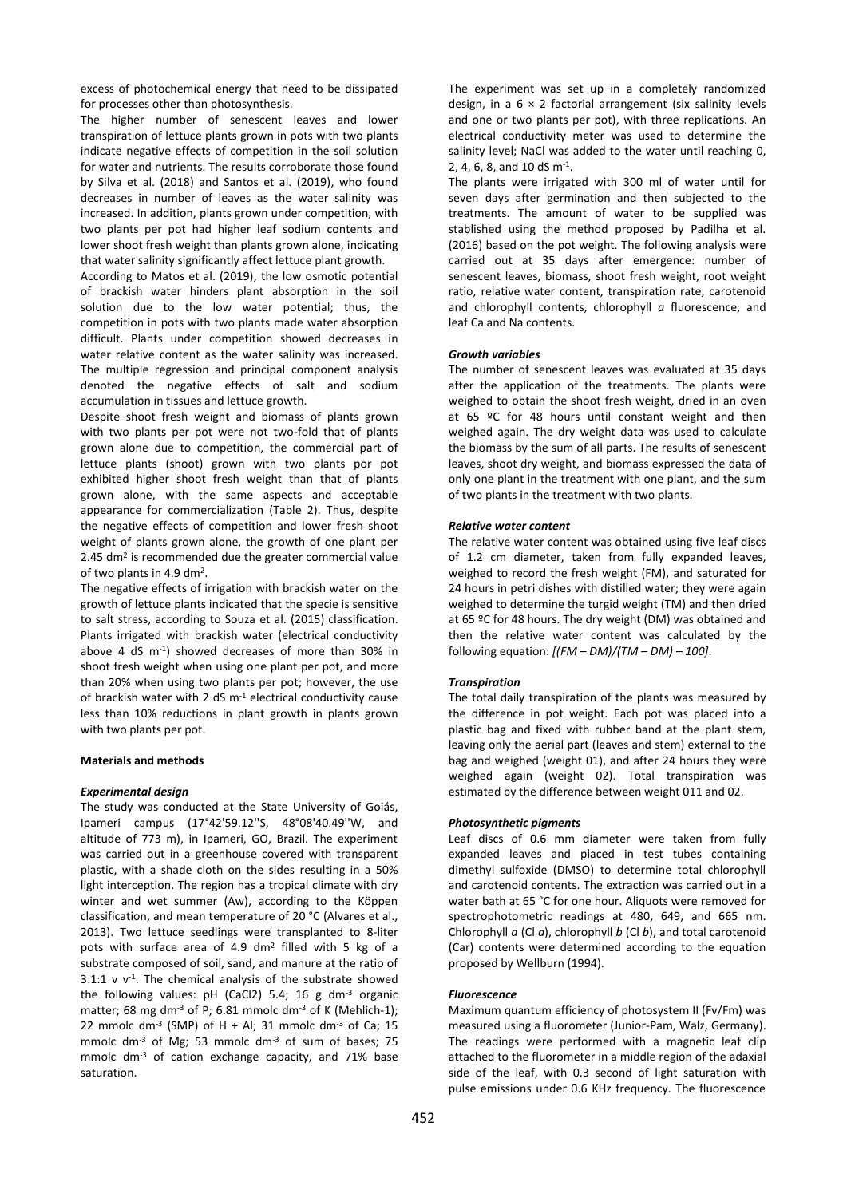excess of photochemical energy that need to be dissipated for processes other than photosynthesis.

The higher number of senescent leaves and lower transpiration of lettuce plants grown in pots with two plants indicate negative effects of competition in the soil solution for water and nutrients. The results corroborate those found by Silva et al. (2018) and Santos et al. (2019), who found decreases in number of leaves as the water salinity was increased. In addition, plants grown under competition, with two plants per pot had higher leaf sodium contents and lower shoot fresh weight than plants grown alone, indicating that water salinity significantly affect lettuce plant growth.

According to Matos et al. (2019), the low osmotic potential of brackish water hinders plant absorption in the soil solution due to the low water potential; thus, the competition in pots with two plants made water absorption difficult. Plants under competition showed decreases in water relative content as the water salinity was increased. The multiple regression and principal component analysis denoted the negative effects of salt and sodium accumulation in tissues and lettuce growth.

Despite shoot fresh weight and biomass of plants grown with two plants per pot were not two-fold that of plants grown alone due to competition, the commercial part of lettuce plants (shoot) grown with two plants por pot exhibited higher shoot fresh weight than that of plants grown alone, with the same aspects and acceptable appearance for commercialization (Table 2). Thus, despite the negative effects of competition and lower fresh shoot weight of plants grown alone, the growth of one plant per 2.45 dm<sup>2</sup> is recommended due the greater commercial value of two plants in 4.9 dm<sup>2</sup>.

The negative effects of irrigation with brackish water on the growth of lettuce plants indicated that the specie is sensitive to salt stress, according to Souza et al. (2015) classification. Plants irrigated with brackish water (electrical conductivity above 4 dS m-1 ) showed decreases of more than 30% in shoot fresh weight when using one plant per pot, and more than 20% when using two plants per pot; however, the use of brackish water with 2 dS m-1 electrical conductivity cause less than 10% reductions in plant growth in plants grown with two plants per pot.

# **Materials and methods**

#### *Experimental design*

The study was conducted at the State University of Goiás, Ipameri campus (17°42'59.12''S, 48°08'40.49''W, and altitude of 773 m), in Ipameri, GO, Brazil. The experiment was carried out in a greenhouse covered with transparent plastic, with a shade cloth on the sides resulting in a 50% light interception. The region has a tropical climate with dry winter and wet summer (Aw), according to the Köppen classification, and mean temperature of 20 °C (Alvares et al., 2013). Two lettuce seedlings were transplanted to 8-liter pots with surface area of 4.9 dm<sup>2</sup> filled with 5 kg of a substrate composed of soil, sand, and manure at the ratio of  $3:1:1$  v  $v^{-1}$ . The chemical analysis of the substrate showed the following values: pH (CaCl2) 5.4; 16 g dm-3 organic matter; 68 mg dm<sup>-3</sup> of P; 6.81 mmolc dm<sup>-3</sup> of K (Mehlich-1); 22 mmolc dm<sup>-3</sup> (SMP) of H + Al; 31 mmolc dm<sup>-3</sup> of Ca; 15 mmolc dm<sup>-3</sup> of Mg; 53 mmolc dm<sup>-3</sup> of sum of bases; 75 mmolc dm-3 of cation exchange capacity, and 71% base saturation.

The experiment was set up in a completely randomized design, in a 6 × 2 factorial arrangement (six salinity levels and one or two plants per pot), with three replications. An electrical conductivity meter was used to determine the salinity level; NaCl was added to the water until reaching 0, 2, 4, 6, 8, and 10 dS m-1 .

The plants were irrigated with 300 ml of water until for seven days after germination and then subjected to the treatments. The amount of water to be supplied was stablished using the method proposed by Padilha et al. (2016) based on the pot weight. The following analysis were carried out at 35 days after emergence: number of senescent leaves, biomass, shoot fresh weight, root weight ratio, relative water content, transpiration rate, carotenoid and chlorophyll contents, chlorophyll *a* fluorescence, and leaf Ca and Na contents.

## *Growth variables*

The number of senescent leaves was evaluated at 35 days after the application of the treatments. The plants were weighed to obtain the shoot fresh weight, dried in an oven at 65 ºC for 48 hours until constant weight and then weighed again. The dry weight data was used to calculate the biomass by the sum of all parts. The results of senescent leaves, shoot dry weight, and biomass expressed the data of only one plant in the treatment with one plant, and the sum of two plants in the treatment with two plants.

## *Relative water content*

The relative water content was obtained using five leaf discs of 1.2 cm diameter, taken from fully expanded leaves, weighed to record the fresh weight (FM), and saturated for 24 hours in petri dishes with distilled water; they were again weighed to determine the turgid weight (TM) and then dried at 65 ºC for 48 hours. The dry weight (DM) was obtained and then the relative water content was calculated by the following equation: *[(FM – DM)/(TM – DM) – 100]*.

#### *Transpiration*

The total daily transpiration of the plants was measured by the difference in pot weight. Each pot was placed into a plastic bag and fixed with rubber band at the plant stem, leaving only the aerial part (leaves and stem) external to the bag and weighed (weight 01), and after 24 hours they were weighed again (weight 02). Total transpiration was estimated by the difference between weight 011 and 02.

## *Photosynthetic pigments*

Leaf discs of 0.6 mm diameter were taken from fully expanded leaves and placed in test tubes containing dimethyl sulfoxide (DMSO) to determine total chlorophyll and carotenoid contents. The extraction was carried out in a water bath at 65 °C for one hour. Aliquots were removed for spectrophotometric readings at 480, 649, and 665 nm. Chlorophyll *a* (Cl *a*), chlorophyll *b* (Cl *b*), and total carotenoid (Car) contents were determined according to the equation proposed by Wellburn (1994).

## *Fluorescence*

Maximum quantum efficiency of photosystem II (Fv/Fm) was measured using a fluorometer (Junior-Pam, Walz, Germany). The readings were performed with a magnetic leaf clip attached to the fluorometer in a middle region of the adaxial side of the leaf, with 0.3 second of light saturation with pulse emissions under 0.6 KHz frequency. The fluorescence